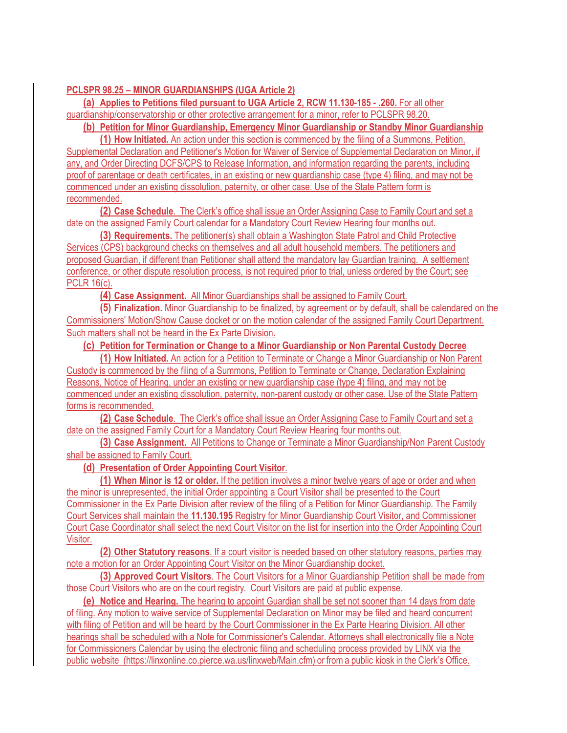## **PCLSPR 98.25 – MINOR GUARDIANSHIPS (UGA Article 2)**

**(a) Applies to Petitions filed pursuant to UGA Article 2, RCW 11.130-185 - .260.** For all other guardianship/conservatorship or other protective arrangement for a minor, refer to PCLSPR 98.20.

**(b) Petition for Minor Guardianship, Emergency Minor Guardianship or Standby Minor Guardianship** 

**(1) How Initiated.** An action under this section is commenced by the filing of a Summons, Petition, Supplemental Declaration and Petitioner's Motion for Waiver of Service of Supplemental Declaration on Minor, if any, and Order Directing DCFS/CPS to Release Information, and information regarding the parents, including proof of parentage or death certificates, in an existing or new guardianship case (type 4) filing, and may not be commenced under an existing dissolution, paternity, or other case. Use of the State Pattern form is recommended.

**(2) Case Schedule**. The Clerk's office shall issue an Order Assigning Case to Family Court and set a date on the assigned Family Court calendar for a Mandatory Court Review Hearing four months out.

**(3) Requirements.** The petitioner(s) shall obtain a Washington State Patrol and Child Protective Services (CPS) background checks on themselves and all adult household members. The petitioners and proposed Guardian, if different than Petitioner shall attend the mandatory lay Guardian training. A settlement conference, or other dispute resolution process, is not required prior to trial, unless ordered by the Court; see PCLR 16(c).

**(4) Case Assignment.** All Minor Guardianships shall be assigned to Family Court.

**(5) Finalization.** Minor Guardianship to be finalized, by agreement or by default, shall be calendared on the Commissioners' Motion/Show Cause docket or on the motion calendar of the assigned Family Court Department. Such matters shall not be heard in the Ex Parte Division.

**(c) Petition for Termination or Change to a Minor Guardianship or Non Parental Custody Decree** 

**(1) How Initiated.** An action for a Petition to Terminate or Change a Minor Guardianship or Non Parent Custody is commenced by the filing of a Summons, Petition to Terminate or Change, Declaration Explaining Reasons, Notice of Hearing, under an existing or new guardianship case (type 4) filing, and may not be commenced under an existing dissolution, paternity, non-parent custody or other case. Use of the State Pattern forms is recommended.

**(2) Case Schedule**. The Clerk's office shall issue an Order Assigning Case to Family Court and set a date on the assigned Family Court for a Mandatory Court Review Hearing four months out.

**(3) Case Assignment.** All Petitions to Change or Terminate a Minor Guardianship/Non Parent Custody shall be assigned to Family Court.

**(d) Presentation of Order Appointing Court Visitor**.

**(1) When Minor is 12 or older.** If the petition involves a minor twelve years of age or order and when the minor is unrepresented, the initial Order appointing a Court Visitor shall be presented to the Court Commissioner in the Ex Parte Division after review of the filing of a Petition for Minor Guardianship. The Family Court Services shall maintain the **11.130.195** Registry for Minor Guardianship Court Visitor, and Commissioner Court Case Coordinator shall select the next Court Visitor on the list for insertion into the Order Appointing Court Visitor.

**(2) Other Statutory reasons**. If a court visitor is needed based on other statutory reasons, parties may note a motion for an Order Appointing Court Visitor on the Minor Guardianship docket.

**(3) Approved Court Visitors**. The Court Visitors for a Minor Guardianship Petition shall be made from those Court Visitors who are on the court registry. Court Visitors are paid at public expense.

**(e) Notice and Hearing.** The hearing to appoint Guardian shall be set not sooner than 14 days from date of filing. Any motion to waive service of Supplemental Declaration on Minor may be filed and heard concurrent with filing of Petition and will be heard by the Court Commissioner in the Ex Parte Hearing Division. All other hearings shall be scheduled with a Note for Commissioner's Calendar. Attorneys shall electronically file a Note for Commissioners Calendar by using the electronic filing and scheduling process provided by LINX via the public website (https://linxonline.co.pierce.wa.us/linxweb/Main.cfm) or from a public kiosk in the Clerk's Office.